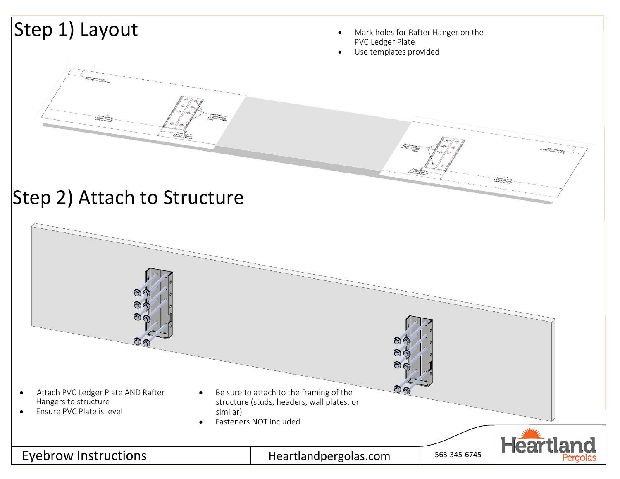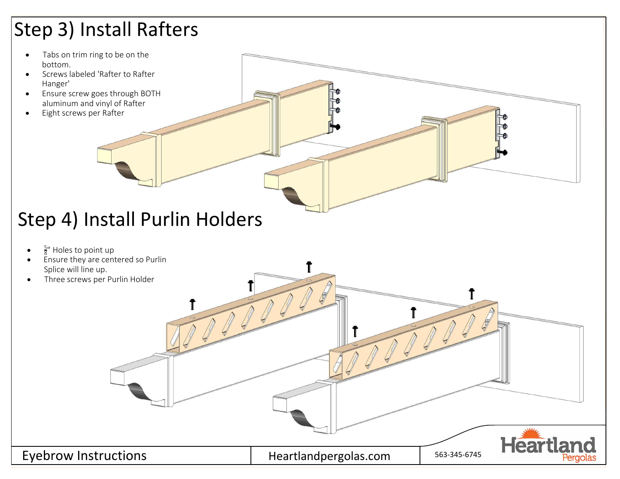# Step 3) Install Rafters

- Tabs on trim ring to be on the bottom.
- · Screws labeled 'Rafter to Rafter Hanger'
- · Ensure screw goes through BOTH aluminum and vinyl of Rafter
- Eight screws per Rafter



- $\bullet$   $\frac{5}{8}$ " Holes to point up
- · Ensure they are centered so Purlin Splice will line up.
- Three screws per Purlin Holder





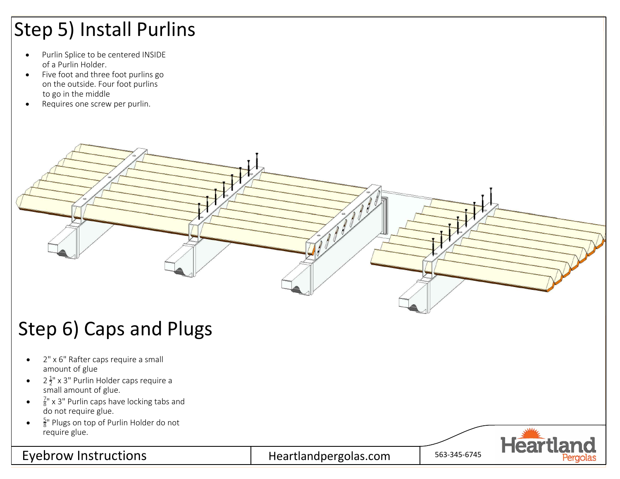# Step 5) Install Purlins

- · Purlin Splice to be centered INSIDE of a Purlin Holder.
- · Five foot and three foot purlins go on the outside. Four foot purlins to go in the middle
- Requires one screw per purlin.



### Step 6) Caps and Plugs

- · 2" x 6" Rafter caps require a small amount of glue
- $2\frac{1}{2}$ " x 3" Purlin Holder caps require a small amount of glue.
- $\frac{7}{8}$ " x 3" Purlin caps have locking tabs and do not require glue.
- $\bullet$   $\frac{5}{8}$ " Plugs on top of Purlin Holder do not require glue.

# Eyebrow Instructions **Heart** Heartlandpergolas.com Figures 11 **Heart**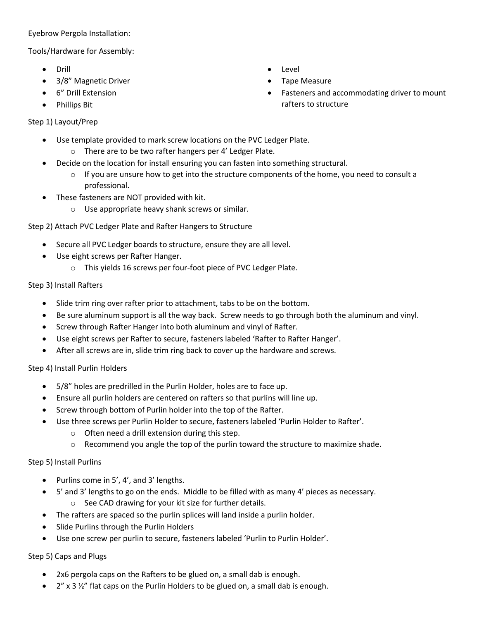Eyebrow Pergola Installation:

Tools/Hardware for Assembly:

- Drill
- 3/8" Magnetic Driver
- 6" Drill Extension
- Phillips Bit

#### Step 1) Layout/Prep

- Use template provided to mark screw locations on the PVC Ledger Plate.
	- o There are to be two rafter hangers per 4' Ledger Plate.
- Decide on the location for install ensuring you can fasten into something structural.
	- $\circ$  If you are unsure how to get into the structure components of the home, you need to consult a professional.
- These fasteners are NOT provided with kit.
	- o Use appropriate heavy shank screws or similar.

#### Step 2) Attach PVC Ledger Plate and Rafter Hangers to Structure

- Secure all PVC Ledger boards to structure, ensure they are all level.
- Use eight screws per Rafter Hanger.
	- o This yields 16 screws per four-foot piece of PVC Ledger Plate.

#### Step 3) Install Rafters

- Slide trim ring over rafter prior to attachment, tabs to be on the bottom.
- Be sure aluminum support is all the way back. Screw needs to go through both the aluminum and vinyl.
- Screw through Rafter Hanger into both aluminum and vinyl of Rafter.
- Use eight screws per Rafter to secure, fasteners labeled 'Rafter to Rafter Hanger'.
- After all screws are in, slide trim ring back to cover up the hardware and screws.

#### Step 4) Install Purlin Holders

- 5/8" holes are predrilled in the Purlin Holder, holes are to face up.
- Ensure all purlin holders are centered on rafters so that purlins will line up.
- Screw through bottom of Purlin holder into the top of the Rafter.
- Use three screws per Purlin Holder to secure, fasteners labeled 'Purlin Holder to Rafter'.
	- o Often need a drill extension during this step.
	- $\circ$  Recommend you angle the top of the purlin toward the structure to maximize shade.

#### Step 5) Install Purlins

- Purlins come in 5', 4', and 3' lengths.
- 5' and 3' lengths to go on the ends. Middle to be filled with as many 4' pieces as necessary. o See CAD drawing for your kit size for further details.
- The rafters are spaced so the purlin splices will land inside a purlin holder.
- Slide Purlins through the Purlin Holders
- Use one screw per purlin to secure, fasteners labeled 'Purlin to Purlin Holder'.

#### Step 5) Caps and Plugs

- 2x6 pergola caps on the Rafters to be glued on, a small dab is enough.
- $2''$  x 3  $\frac{1}{2}''$  flat caps on the Purlin Holders to be glued on, a small dab is enough.
- Level
- Tape Measure
- Fasteners and accommodating driver to mount rafters to structure